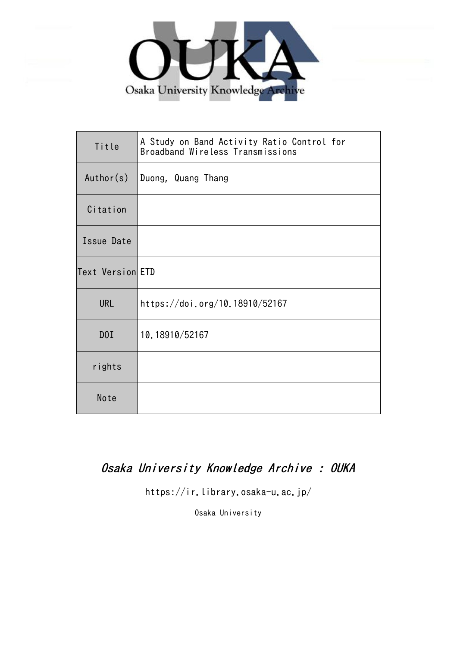

| Title            | A Study on Band Activity Ratio Control for<br>Broadband Wireless Transmissions |  |  |  |
|------------------|--------------------------------------------------------------------------------|--|--|--|
| Author(s)        | Duong, Quang Thang                                                             |  |  |  |
| Citation         |                                                                                |  |  |  |
| Issue Date       |                                                                                |  |  |  |
| Text Version ETD |                                                                                |  |  |  |
| <b>URL</b>       | https://doi.org/10.18910/52167                                                 |  |  |  |
| D0I              | 10.18910/52167                                                                 |  |  |  |
| rights           |                                                                                |  |  |  |
| Note             |                                                                                |  |  |  |

# Osaka University Knowledge Archive : OUKA

https://ir.library.osaka-u.ac.jp/

Osaka University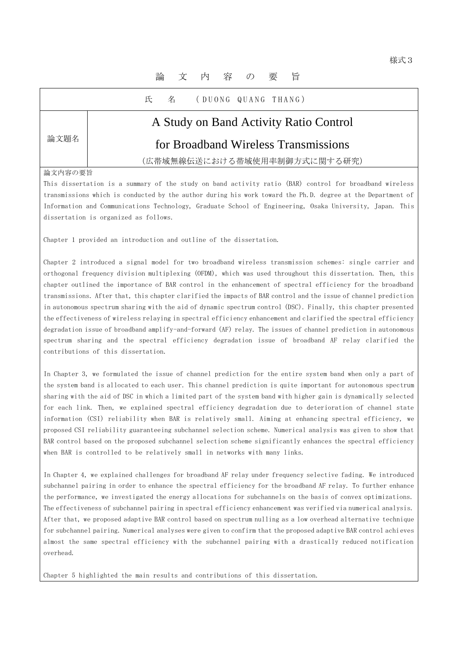## 論 文 内 容 の 要 旨

氏 名 (DUONG QUANG THANG)

# A Study on Band Activity Ratio Control

## for Broadband Wireless Transmissions

(広帯域無線伝送における帯域使用率制御方式に関する研究)

#### 論文内容の要旨

論文題名

This dissertation is a summary of the study on band activity ratio (BAR) control for broadband wireless transmissions which is conducted by the author during his work toward the Ph.D. degree at the Department of Information and Communications Technology, Graduate School of Engineering, Osaka University, Japan. This dissertation is organized as follows.

Chapter 1 provided an introduction and outline of the dissertation.

Chapter 2 introduced a signal model for two broadband wireless transmission schemes: single carrier and orthogonal frequency division multiplexing (OFDM), which was used throughout this dissertation. Then, this chapter outlined the importance of BAR control in the enhancement of spectral efficiency for the broadband transmissions. After that, this chapter clarified the impacts of BAR control and the issue of channel prediction in autonomous spectrum sharing with the aid of dynamic spectrum control (DSC). Finally, this chapter presented the effectiveness of wireless relaying in spectral efficiency enhancement and clarified the spectral efficiency degradation issue of broadband amplify-and-forward (AF) relay. The issues of channel prediction in autonomous spectrum sharing and the spectral efficiency degradation issue of broadband AF relay clarified the contributions of this dissertation.

In Chapter 3, we formulated the issue of channel prediction for the entire system band when only a part of the system band is allocated to each user. This channel prediction is quite important for autonomous spectrum sharing with the aid of DSC in which a limited part of the system band with higher gain is dynamically selected for each link. Then, we explained spectral efficiency degradation due to deterioration of channel state information (CSI) reliability when BAR is relatively small. Aiming at enhancing spectral efficiency, we proposed CSI reliability guaranteeing subchannel selection scheme. Numerical analysis was given to show that BAR control based on the proposed subchannel selection scheme significantly enhances the spectral efficiency when BAR is controlled to be relatively small in networks with many links.

In Chapter 4, we explained challenges for broadband AF relay under frequency selective fading. We introduced subchannel pairing in order to enhance the spectral efficiency for the broadband AF relay. To further enhance the performance, we investigated the energy allocations for subchannels on the basis of convex optimizations. The effectiveness of subchannel pairing in spectral efficiency enhancement was verified via numerical analysis. After that, we proposed adaptive BAR control based on spectrum nulling as a low overhead alternative technique for subchannel pairing. Numerical analyses were given to confirm that the proposed adaptive BAR control achieves almost the same spectral efficiency with the subchannel pairing with a drastically reduced notification overhead.

Chapter 5 highlighted the main results and contributions of this dissertation.